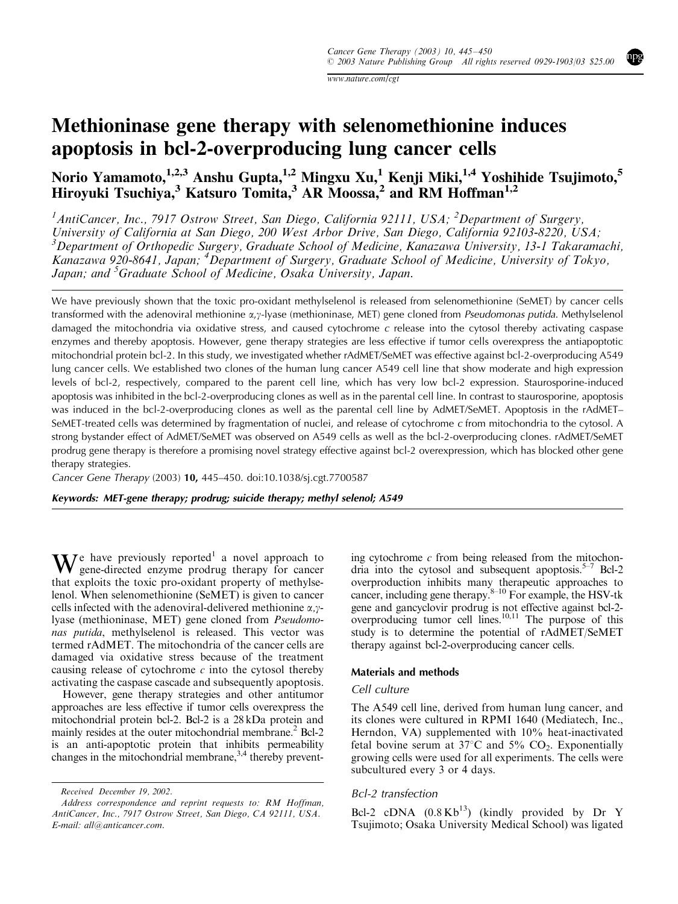www.nature.com/cgt

# Methioninase gene therapy with selenomethionine induces apoptosis in bcl-2-overproducing lung cancer cells

Norio Yamamoto, $^{1,2,3}$  Anshu Gupta, $^{1,2}$  Mingxu Xu, $^{1}$  Kenji Miki, $^{1,4}$  Yoshihide Tsujimoto, $^{5}$ Hiroyuki Tsuchiya,<sup>3</sup> Katsuro Tomita,<sup>3</sup> AR Moossa,<sup>2</sup> and RM Hoffman<sup>1,2</sup>

<sup>1</sup> AntiCancer, Inc., 7917 Ostrow Street, San Diego, California 92111, USA; <sup>2</sup>Department of Surgery, University of California at San Diego, 200 West Arbor Drive, San Diego, California 92103-8220, USA; <sup>3</sup>Department of Orthopedic Surgery, Graduate School of Medicine, Kanazawa University, 13-1 Takaramachi, Kanazawa 920-8641, Japan; <sup>4</sup> Department of Surgery, Graduate School of Medicine, University of Tokyo, Japan; and <sup>5</sup>Graduate School of Medicine, Osaka University, Japan.

We have previously shown that the toxic pro-oxidant methylselenol is released from selenomethionine (SeMET) by cancer cells transformed with the adenoviral methionine  $\alpha$ , $\gamma$ -lyase (methioninase, MET) gene cloned from *Pseudomonas putida*. Methylselenol damaged the mitochondria via oxidative stress, and caused cytochrome  $c$  release into the cytosol thereby activating caspase enzymes and thereby apoptosis. However, gene therapy strategies are less effective if tumor cells overexpress the antiapoptotic mitochondrial protein bcl-2. In this study, we investigated whether rAdMET/SeMET was effective against bcl-2-overproducing A549 lung cancer cells. We established two clones of the human lung cancer A549 cell line that show moderate and high expression levels of bcl-2, respectively, compared to the parent cell line, which has very low bcl-2 expression. Staurosporine-induced apoptosis was inhibited in the bcl-2-overproducing clones as well as in the parental cell line. In contrast to staurosporine, apoptosis was induced in the bcl-2-overproducing clones as well as the parental cell line by AdMET/SeMET. Apoptosis in the rAdMET– SeMET-treated cells was determined by fragmentation of nuclei, and release of cytochrome c from mitochondria to the cytosol. A strong bystander effect of AdMET/SeMET was observed on A549 cells as well as the bcl-2-overproducing clones. rAdMET/SeMET prodrug gene therapy is therefore a promising novel strategy effective against bcl-2 overexpression, which has blocked other gene therapy strategies.

Cancer Gene Therapy (2003) 10, 445–450. doi:10.1038/sj.cgt.7700587

Keywords: MET-gene therapy; prodrug; suicide therapy; methyl selenol; A549

 $\mathbf{W}$  e have previously reported<sup>1</sup> a novel approach to gene-directed enzyme prodrug therapy for cancer that exploits the toxic pro-oxidant property of methylselenol. When selenomethionine (SeMET) is given to cancer cells infected with the adenoviral-delivered methionine  $\alpha$ , $\gamma$ lyase (methioninase, MET) gene cloned from Pseudomonas putida, methylselenol is released. This vector was termed rAdMET. The mitochondria of the cancer cells are damaged via oxidative stress because of the treatment causing release of cytochrome  $c$  into the cytosol thereby activating the caspase cascade and subsequently apoptosis.

However, gene therapy strategies and other antitumor approaches are less effective if tumor cells overexpress the mitochondrial protein bcl-2. Bcl-2 is a 28 kDa protein and mainly resides at the outer mitochondrial membrane.<sup>2</sup> Bcl-2 is an anti-apoptotic protein that inhibits permeability changes in the mitochondrial membrane,<sup>3,4</sup> thereby prevent-

Received December 19, 2002.

ing cytochrome  $c$  from being released from the mitochondria into the cytosol and subsequent apoptosis. $5-7$  Bcl-2 overproduction inhibits many therapeutic approaches to cancer, including gene therapy.<sup>8–10</sup> For example, the HSV-tk gene and gancyclovir prodrug is not effective against bcl-2 overproducing tumor cell lines.<sup>10,11</sup> The purpose of this study is to determine the potential of rAdMET/SeMET therapy against bcl-2-overproducing cancer cells.

## Materials and methods

#### Cell culture

The A549 cell line, derived from human lung cancer, and its clones were cultured in RPMI 1640 (Mediatech, Inc., Herndon, VA) supplemented with 10% heat-inactivated fetal bovine serum at  $37^{\circ}$ C and  $5\%$  CO<sub>2</sub>. Exponentially growing cells were used for all experiments. The cells were subcultured every 3 or 4 days.

#### Bcl-2 transfection

Bcl-2 cDNA  $(0.8 \text{ Kb}^{13})$  (kindly provided by Dr Y Tsujimoto; Osaka University Medical School) was ligated

Address correspondence and reprint requests to: RM Hoffman, AntiCancer, Inc., 7917 Ostrow Street, San Diego, CA 92111, USA. E-mail: all@anticancer.com.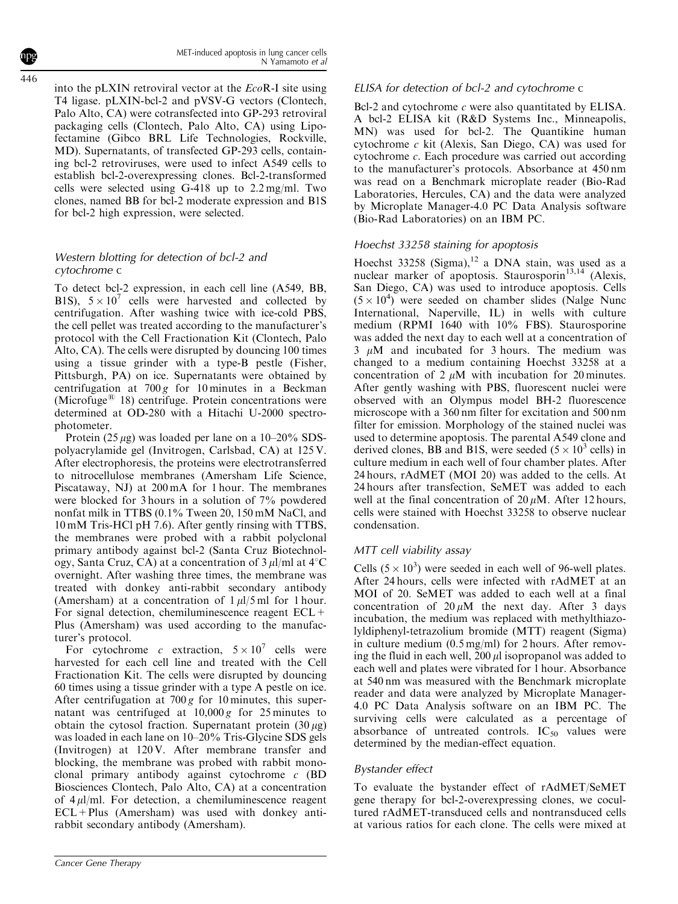into the pLXIN retroviral vector at the EcoR-I site using T4 ligase. pLXIN-bcl-2 and pVSV-G vectors (Clontech, Palo Alto, CA) were cotransfected into GP-293 retroviral packaging cells (Clontech, Palo Alto, CA) using Lipofectamine (Gibco BRL Life Technologies, Rockville, MD). Supernatants, of transfected GP-293 cells, containing bcl-2 retroviruses, were used to infect A549 cells to establish bcl-2-overexpressing clones. Bcl-2-transformed cells were selected using G-418 up to 2.2 mg/ml. Two clones, named BB for bcl-2 moderate expression and B1S for bcl-2 high expression, were selected.

# Western blotting for detection of bcl-2 and cytochrome c

To detect bcl-2 expression, in each cell line (A549, BB, B1S),  $5 \times 10^7$  cells were harvested and collected by centrifugation. After washing twice with ice-cold PBS, the cell pellet was treated according to the manufacturer's protocol with the Cell Fractionation Kit (Clontech, Palo Alto, CA). The cells were disrupted by douncing 100 times using a tissue grinder with a type-B pestle (Fisher, Pittsburgh, PA) on ice. Supernatants were obtained by centrifugation at  $700 g$  for 10 minutes in a Beckman (Microfuge<sup> $\text{B}$ </sup> 18) centrifuge. Protein concentrations were determined at OD-280 with a Hitachi U-2000 spectrophotometer.

Protein (25  $\mu$ g) was loaded per lane on a 10–20% SDSpolyacrylamide gel (Invitrogen, Carlsbad, CA) at 125 V. After electrophoresis, the proteins were electrotransferred to nitrocellulose membranes (Amersham Life Science, Piscataway, NJ) at 200 mA for 1 hour. The membranes were blocked for 3 hours in a solution of 7% powdered nonfat milk in TTBS (0.1% Tween 20, 150 mM NaCl, and 10 mM Tris-HCl pH 7.6). After gently rinsing with TTBS, the membranes were probed with a rabbit polyclonal primary antibody against bcl-2 (Santa Cruz Biotechnology, Santa Cruz, CA) at a concentration of  $3 \mu l$ /ml at  $4^{\circ}$ C overnight. After washing three times, the membrane was treated with donkey anti-rabbit secondary antibody (Amersham) at a concentration of  $1 \mu$ l/5 ml for 1 hour. For signal detection, chemiluminescence reagent ECL+ Plus (Amersham) was used according to the manufacturer's protocol.

For cytochrome c extraction,  $5 \times 10^7$  cells were harvested for each cell line and treated with the Cell Fractionation Kit. The cells were disrupted by douncing 60 times using a tissue grinder with a type A pestle on ice. After centrifugation at  $700 g$  for 10 minutes, this supernatant was centrifuged at  $10,000 g$  for 25 minutes to obtain the cytosol fraction. Supernatant protein  $(30 \mu g)$ was loaded in each lane on 10–20% Tris-Glycine SDS gels (Invitrogen) at 120 V. After membrane transfer and blocking, the membrane was probed with rabbit monoclonal primary antibody against cytochrome c (BD Biosciences Clontech, Palo Alto, CA) at a concentration of  $4 \mu$ l/ml. For detection, a chemiluminescence reagent  $ECL+Plus$  (Amersham) was used with donkey antirabbit secondary antibody (Amersham).

# ELISA for detection of bcl-2 and cytochrome c

Bcl-2 and cytochrome c were also quantitated by ELISA. A bcl-2 ELISA kit (R&D Systems Inc., Minneapolis, MN) was used for bcl-2. The Quantikine human cytochrome c kit (Alexis, San Diego, CA) was used for cytochrome c. Each procedure was carried out according to the manufacturer's protocols. Absorbance at 450 nm was read on a Benchmark microplate reader (Bio-Rad Laboratories, Hercules, CA) and the data were analyzed by Microplate Manager-4.0 PC Data Analysis software (Bio-Rad Laboratories) on an IBM PC.

# Hoechst 33258 staining for apoptosis

Hoechst 33258 (Sigma), $12$  a DNA stain, was used as a nuclear marker of apoptosis. Staurosporin $13,14$  (Alexis, San Diego, CA) was used to introduce apoptosis. Cells  $(5 \times 10^4)$  were seeded on chamber slides (Nalge Nunc International, Naperville, IL) in wells with culture medium (RPMI 1640 with 10% FBS). Staurosporine was added the next day to each well at a concentration of  $3 \mu M$  and incubated for 3 hours. The medium was changed to a medium containing Hoechst 33258 at a concentration of 2  $\mu$ M with incubation for 20 minutes. After gently washing with PBS, fluorescent nuclei were observed with an Olympus model BH-2 fluorescence microscope with a 360 nm filter for excitation and 500 nm filter for emission. Morphology of the stained nuclei was used to determine apoptosis. The parental A549 clone and derived clones, BB and B1S, were seeded  $(5 \times 10^3 \text{ cells})$  in culture medium in each well of four chamber plates. After 24 hours, rAdMET (MOI 20) was added to the cells. At 24 hours after transfection, SeMET was added to each well at the final concentration of  $20 \mu M$ . After 12 hours, cells were stained with Hoechst 33258 to observe nuclear condensation.

# MTT cell viability assay

Cells  $(5 \times 10^3)$  were seeded in each well of 96-well plates. After 24 hours, cells were infected with rAdMET at an MOI of 20. SeMET was added to each well at a final concentration of  $20 \mu M$  the next day. After 3 days incubation, the medium was replaced with methylthiazolyldiphenyl-tetrazolium bromide (MTT) reagent (Sigma) in culture medium (0.5 mg/ml) for 2 hours. After removing the fluid in each well,  $200 \mu l$  isopropanol was added to each well and plates were vibrated for 1 hour. Absorbance at 540 nm was measured with the Benchmark microplate reader and data were analyzed by Microplate Manager-4.0 PC Data Analysis software on an IBM PC. The surviving cells were calculated as a percentage of absorbance of untreated controls.  $IC_{50}$  values were determined by the median-effect equation.

# Bystander effect

To evaluate the bystander effect of rAdMET/SeMET gene therapy for bcl-2-overexpressing clones, we cocultured rAdMET-transduced cells and nontransduced cells at various ratios for each clone. The cells were mixed at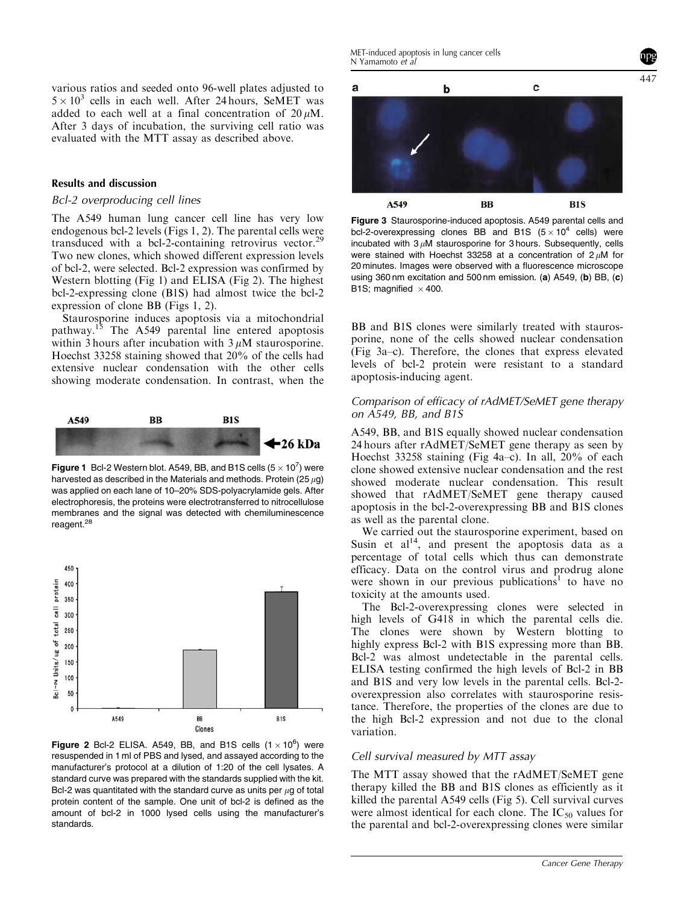various ratios and seeded onto 96-well plates adjusted to  $5 \times 10^3$  cells in each well. After 24 hours, SeMET was added to each well at a final concentration of  $20 \mu M$ . After 3 days of incubation, the surviving cell ratio was evaluated with the MTT assay as described above.

#### Results and discussion

#### Bcl-2 overproducing cell lines

The A549 human lung cancer cell line has very low endogenous bcl-2 levels (Figs 1, 2). The parental cells were transduced with a bcl-2-containing retrovirus vector.<sup>29</sup> Two new clones, which showed different expression levels of bcl-2, were selected. Bcl-2 expression was confirmed by Western blotting (Fig 1) and ELISA (Fig 2). The highest bcl-2-expressing clone (B1S) had almost twice the bcl-2 expression of clone BB (Figs 1, 2).

Staurosporine induces apoptosis via a mitochondrial pathway.<sup>15</sup> The A549 parental line entered apoptosis within 3 hours after incubation with  $3 \mu$ M staurosporine. Hoechst 33258 staining showed that 20% of the cells had extensive nuclear condensation with the other cells showing moderate condensation. In contrast, when the



Figure 1 Bcl-2 Western blot. A549, BB, and B1S cells  $(5 \times 10^7)$  were harvested as described in the Materials and methods. Protein (25  $\mu$ g) was applied on each lane of 10–20% SDS-polyacrylamide gels. After electrophoresis, the proteins were electrotransferred to nitrocellulose membranes and the signal was detected with chemiluminescence reagent.<sup>28</sup>



Figure 2 Bcl-2 ELISA. A549, BB, and B1S cells  $(1 \times 10^6)$  were resuspended in 1 ml of PBS and lysed, and assayed according to the manufacturer's protocol at a dilution of 1:20 of the cell lysates. A standard curve was prepared with the standards supplied with the kit. Bcl-2 was quantitated with the standard curve as units per  $\mu$ g of total protein content of the sample. One unit of bcl-2 is defined as the amount of bcl-2 in 1000 lysed cells using the manufacturer's standards.



Figure 3 Staurosporine-induced apoptosis. A549 parental cells and bcl-2-overexpressing clones BB and B1S  $(5 \times 10^4$  cells) were incubated with  $3 \mu$ M staurosporine for 3 hours. Subsequently, cells were stained with Hoechst 33258 at a concentration of  $2 \mu$ M for 20 minutes. Images were observed with a fluorescence microscope using 360 nm excitation and 500 nm emission. (a) A549, (b) BB, (c) B1S; magnified  $\times$  400.

BB and B1S clones were similarly treated with staurosporine, none of the cells showed nuclear condensation (Fig 3a–c). Therefore, the clones that express elevated levels of bcl-2 protein were resistant to a standard apoptosis-inducing agent.

### Comparison of efficacy of rAdMET/SeMET gene therapy on A549, BB, and B1S

A549, BB, and B1S equally showed nuclear condensation 24 hours after rAdMET/SeMET gene therapy as seen by Hoechst 33258 staining (Fig 4a–c). In all, 20% of each clone showed extensive nuclear condensation and the rest showed moderate nuclear condensation. This result showed that rAdMET/SeMET gene therapy caused apoptosis in the bcl-2-overexpressing BB and B1S clones as well as the parental clone.

We carried out the staurosporine experiment, based on Susin et  $al<sup>14</sup>$ , and present the apoptosis data as a percentage of total cells which thus can demonstrate efficacy. Data on the control virus and prodrug alone were shown in our previous publications<sup>1</sup> to have no toxicity at the amounts used.

The Bcl-2-overexpressing clones were selected in high levels of G418 in which the parental cells die. The clones were shown by Western blotting to highly express Bcl-2 with B1S expressing more than BB. Bcl-2 was almost undetectable in the parental cells. ELISA testing confirmed the high levels of Bcl-2 in BB and B1S and very low levels in the parental cells. Bcl-2overexpression also correlates with staurosporine resistance. Therefore, the properties of the clones are due to the high Bcl-2 expression and not due to the clonal variation.

## Cell survival measured by MTT assay

The MTT assay showed that the rAdMET/SeMET gene therapy killed the BB and B1S clones as efficiently as it killed the parental A549 cells (Fig 5). Cell survival curves were almost identical for each clone. The  $IC_{50}$  values for the parental and bcl-2-overexpressing clones were similar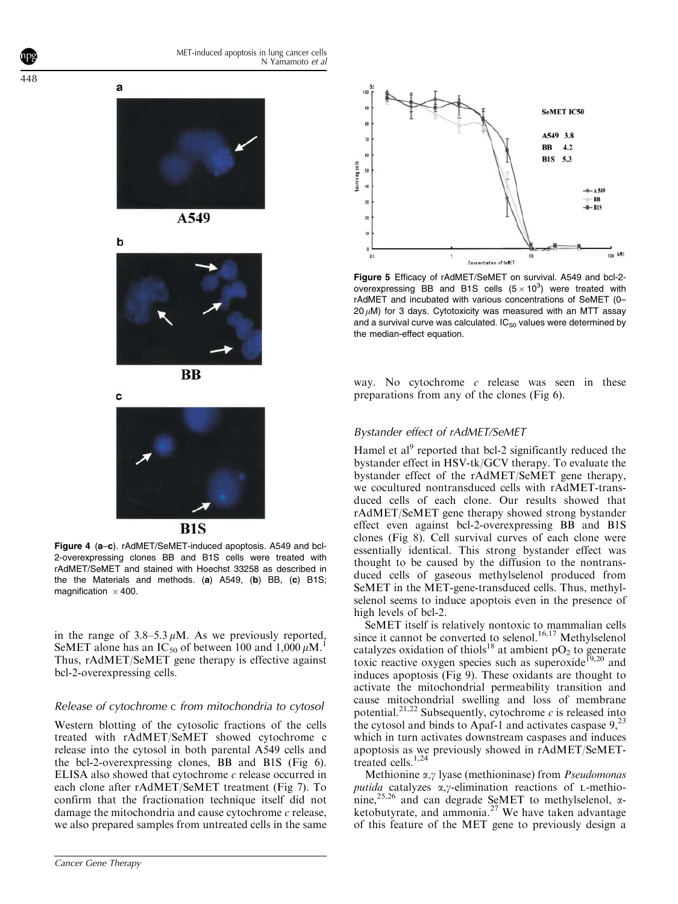



A549







 $R1S$ 

Figure 4 (a–c). rAdMET/SeMET-induced apoptosis. A549 and bcl-2-overexpressing clones BB and B1S cells were treated with rAdMET/SeMET and stained with Hoechst 33258 as described in the the Materials and methods. (a) A549, (b) BB, (c) B1S; magnification  $\times$  400.

in the range of  $3.8-5.3 \mu M$ . As we previously reported, SeMET alone has an IC<sub>50</sub> of between 100 and 1,000  $\mu$ M.<sup>1</sup> Thus, rAdMET/SeMET gene therapy is effective against bcl-2-overexpressing cells.

## Release of cytochrome c from mitochondria to cytosol

Western blotting of the cytosolic fractions of the cells treated with rAdMET/SeMET showed cytochrome c release into the cytosol in both parental A549 cells and the bcl-2-overexpressing clones, BB and B1S (Fig 6). ELISA also showed that cytochrome c release occurred in each clone after rAdMET/SeMET treatment (Fig 7). To confirm that the fractionation technique itself did not damage the mitochondria and cause cytochrome  $c$  release, we also prepared samples from untreated cells in the same



Figure 5 Efficacy of rAdMET/SeMET on survival. A549 and bcl-2 overexpressing BB and B1S cells  $(5 \times 10^3)$  were treated with rAdMET and incubated with various concentrations of SeMET (0–  $20 \mu$ M) for 3 days. Cytotoxicity was measured with an MTT assav and a survival curve was calculated.  $IC_{50}$  values were determined by the median-effect equation.

way. No cytochrome  $c$  release was seen in these preparations from any of the clones (Fig 6).

## Bystander effect of rAdMET/SeMET

Hamel et al<sup>9</sup> reported that bcl-2 significantly reduced the bystander effect in HSV-tk/GCV therapy. To evaluate the bystander effect of the rAdMET/SeMET gene therapy, we cocultured nontransduced cells with rAdMET-transduced cells of each clone. Our results showed that rAdMET/SeMET gene therapy showed strong bystander effect even against bcl-2-overexpressing BB and B1S clones (Fig 8). Cell survival curves of each clone were essentially identical. This strong bystander effect was thought to be caused by the diffusion to the nontransduced cells of gaseous methylselenol produced from SeMET in the MET-gene-transduced cells. Thus, methylselenol seems to induce apoptois even in the presence of high levels of bcl-2.

SeMET itself is relatively nontoxic to mammalian cells since it cannot be converted to selenol.<sup>16,17</sup> Methylselenol catalyzes oxidation of thiols<sup>18</sup> at ambient  $pO<sub>2</sub>$  to generate toxic reactive oxygen species such as superoxide<sup>19,20</sup> and induces apoptosis (Fig 9). These oxidants are thought to activate the mitochondrial permeability transition and cause mitochondrial swelling and loss of membrane potential.<sup>21,22</sup> Subsequently, cytochrome c is released into the cytosol and binds to Apaf-1 and activates caspase  $9<sup>23</sup>$ which in turn activates downstream caspases and induces apoptosis as we previously showed in rAdMET/SeMETtreated cells.<sup>1,24</sup>

Methionine  $\alpha$ , $\gamma$  lyase (methioninase) from *Pseudomonas* putida catalyzes  $\alpha$ , $\gamma$ -elimination reactions of L-methionine,<sup>25,26</sup> and can degrade SeMET to methylselenol,  $\alpha$ ketobutyrate, and ammonia. $27$  We have taken advantage of this feature of the MET gene to previously design a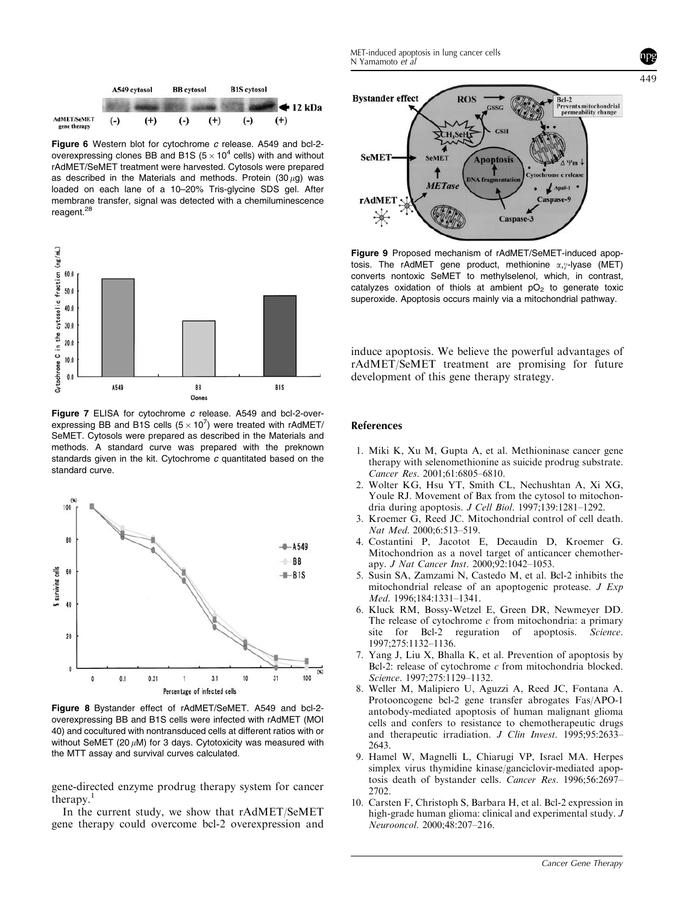



Figure 6 Western blot for cytochrome c release. A549 and bcl-2overexpressing clones BB and B1S ( $5 \times 10^4$  cells) with and without rAdMET/SeMET treatment were harvested. Cytosols were prepared as described in the Materials and methods. Protein  $(30 \mu a)$  was loaded on each lane of a 10–20% Tris-glycine SDS gel. After membrane transfer, signal was detected with a chemiluminescence reagent.<sup>28</sup>



Figure 7 ELISA for cytochrome c release. A549 and bcl-2-overexpressing BB and B1S cells  $(5 \times 10^7)$  were treated with rAdMET/ SeMET. Cytosols were prepared as described in the Materials and methods. A standard curve was prepared with the preknown standards given in the kit. Cytochrome c quantitated based on the standard curve.



Figure 8 Bystander effect of rAdMET/SeMET. A549 and bcl-2 overexpressing BB and B1S cells were infected with rAdMET (MOI 40) and cocultured with nontransduced cells at different ratios with or without SeMET (20  $\mu$ M) for 3 days. Cytotoxicity was measured with the MTT assay and survival curves calculated.

gene-directed enzyme prodrug therapy system for cancer therapy. $<sup>1</sup>$ </sup>

In the current study, we show that rAdMET/SeMET gene therapy could overcome bcl-2 overexpression and



Figure 9 Proposed mechanism of rAdMET/SeMET-induced apoptosis. The rAdMET gene product, methionine  $\alpha$ , $\gamma$ -lyase (MET) converts nontoxic SeMET to methylselenol, which, in contrast, catalyzes oxidation of thiols at ambient  $pO<sub>2</sub>$  to generate toxic superoxide. Apoptosis occurs mainly via a mitochondrial pathway.

induce apoptosis. We believe the powerful advantages of rAdMET/SeMET treatment are promising for future development of this gene therapy strategy.

#### References

- 1. Miki K, Xu M, Gupta A, et al. Methioninase cancer gene therapy with selenomethionine as suicide prodrug substrate. Cancer Res. 2001;61:6805–6810.
- 2. Wolter KG, Hsu YT, Smith CL, Nechushtan A, Xi XG, Youle RJ. Movement of Bax from the cytosol to mitochondria during apoptosis. J Cell Biol. 1997;139:1281–1292.
- 3. Kroemer G, Reed JC. Mitochondrial control of cell death. Nat Med. 2000;6:513–519.
- 4. Costantini P, Jacotot E, Decaudin D, Kroemer G. Mitochondrion as a novel target of anticancer chemotherapy. J Nat Cancer Inst. 2000;92:1042-1053.
- 5. Susin SA, Zamzami N, Castedo M, et al. Bcl-2 inhibits the mitochondrial release of an apoptogenic protease. J Exp Med. 1996;184:1331–1341.
- 6. Kluck RM, Bossy-Wetzel E, Green DR, Newmeyer DD. The release of cytochrome  $c$  from mitochondria: a primary site for Bcl-2 reguration of apoptosis. Science. 1997;275:1132–1136.
- 7. Yang J, Liu X, Bhalla K, et al. Prevention of apoptosis by Bcl-2: release of cytochrome  $c$  from mitochondria blocked. Science. 1997;275:1129–1132.
- 8. Weller M, Malipiero U, Aguzzi A, Reed JC, Fontana A. Protooncogene bcl-2 gene transfer abrogates Fas/APO-1 antobody-mediated apoptosis of human malignant glioma cells and confers to resistance to chemotherapeutic drugs and therapeutic irradiation. J Clin Invest. 1995;95:2633-2643.
- 9. Hamel W, Magnelli L, Chiarugi VP, Israel MA. Herpes simplex virus thymidine kinase/ganciclovir-mediated apoptosis death of bystander cells. Cancer Res. 1996;56:2697– 2702.
- 10. Carsten F, Christoph S, Barbara H, et al. Bcl-2 expression in high-grade human glioma: clinical and experimental study. J Neurooncol. 2000;48:207–216.